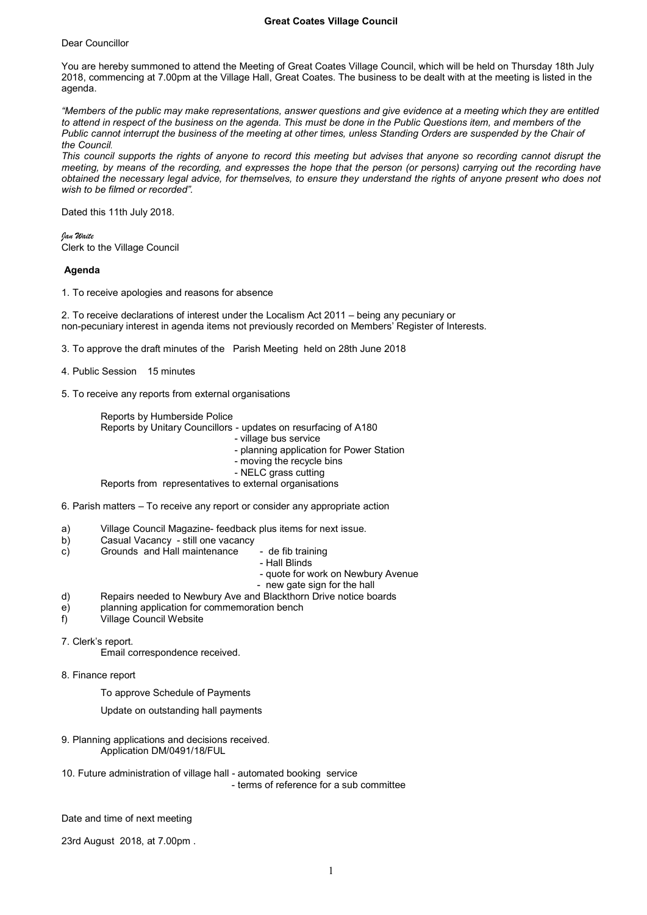## **Great Coates Village Council**

Dear Councillor

You are hereby summoned to attend the Meeting of Great Coates Village Council, which will be held on Thursday 18th July 2018, commencing at 7.00pm at the Village Hall, Great Coates. The business to be dealt with at the meeting is listed in the agenda.

*"Members of the public may make representations, answer questions and give evidence at a meeting which they are entitled to attend in respect of the business on the agenda. This must be done in the Public Questions item, and members of the Public cannot interrupt the business of the meeting at other times, unless Standing Orders are suspended by the Chair of the Council.*

*This council supports the rights of anyone to record this meeting but advises that anyone so recording cannot disrupt the meeting, by means of the recording, and expresses the hope that the person (or persons) carrying out the recording have obtained the necessary legal advice, for themselves, to ensure they understand the rights of anyone present who does not wish to be filmed or recorded".*

Dated this 11th July 2018.

*Jan Waite* Clerk to the Village Council

**Agenda**

1. To receive apologies and reasons for absence

2. To receive declarations of interest under the Localism Act 2011 – being any pecuniary or non-pecuniary interest in agenda items not previously recorded on Members' Register of Interests.

3. To approve the draft minutes of the Parish Meeting held on 28th June 2018

4. Public Session 15 minutes

5. To receive any reports from external organisations

Reports by Humberside Police

Reports by Unitary Councillors - updates on resurfacing of A180

- village bus service

- planning application for Power Station

- moving the recycle bins

- NELC grass cutting

Reports from representatives to external organisations

6. Parish matters – To receive any report or consider any appropriate action

- a) Village Council Magazine- feedback plus items for next issue.<br>b) Casual Vacancy still one vacancy
- b) Casual Vacancy still one vacancy<br>c) Grounds and Hall maintenance
- Grounds and Hall maintenance de fib training
	- Hall Blinds
	- quote for work on Newbury Avenue
	- new gate sign for the hall
- d) Repairs needed to Newbury Ave and Blackthorn Drive notice boards
- e) planning application for commemoration bench<br>f) Village Council Website
- Village Council Website
- 7. Clerk's report.

Email correspondence received.

- 8. Finance report
	- To approve Schedule of Payments

Update on outstanding hall payments

- 9. Planning applications and decisions received. Application DM/0491/18/FUL
- 10. Future administration of village hall automated booking service - terms of reference for a sub committee

Date and time of next meeting

23rd August 2018, at 7.00pm .